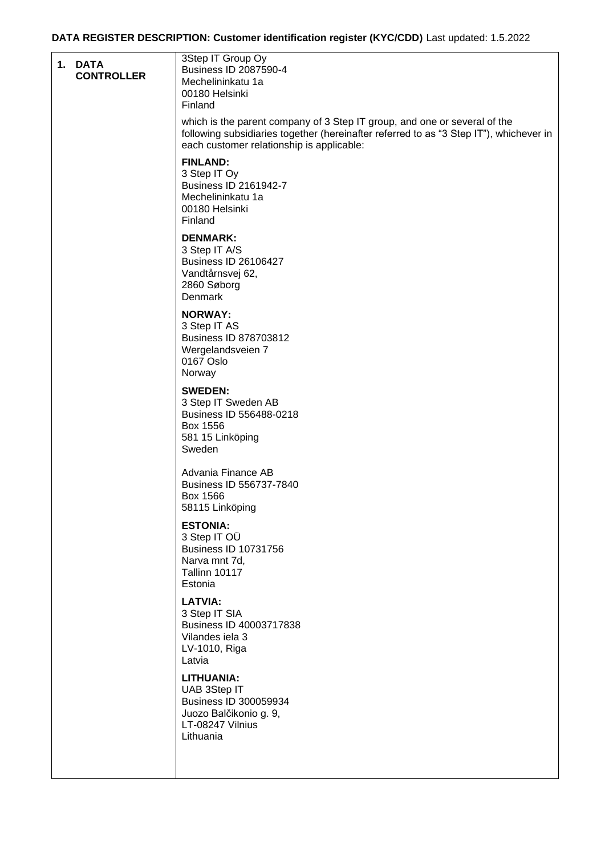## **DATA REGISTER DESCRIPTION: Customer identification register (KYC/CDD)** Last updated: 1.5.2022

| 1. DATA<br><b>CONTROLLER</b> | 3Step IT Group Oy<br>Business ID 2087590-4<br>Mechelininkatu 1a<br>00180 Helsinki<br>Finland                                                                                                                     |
|------------------------------|------------------------------------------------------------------------------------------------------------------------------------------------------------------------------------------------------------------|
|                              | which is the parent company of 3 Step IT group, and one or several of the<br>following subsidiaries together (hereinafter referred to as "3 Step IT"), whichever in<br>each customer relationship is applicable: |
|                              | <b>FINLAND:</b><br>3 Step IT Oy<br>Business ID 2161942-7<br>Mechelininkatu 1a<br>00180 Helsinki<br>Finland                                                                                                       |
|                              | <b>DENMARK:</b><br>3 Step IT A/S<br><b>Business ID 26106427</b><br>Vandtårnsvej 62,<br>2860 Søborg<br>Denmark                                                                                                    |
|                              | <b>NORWAY:</b><br>3 Step IT AS<br><b>Business ID 878703812</b><br>Wergelandsveien 7<br>0167 Oslo<br>Norway                                                                                                       |
|                              | <b>SWEDEN:</b><br>3 Step IT Sweden AB<br>Business ID 556488-0218<br>Box 1556<br>581 15 Linköping<br>Sweden                                                                                                       |
|                              | Advania Finance AB<br>Business ID 556737-7840<br>Box 1566<br>58115 Linköping                                                                                                                                     |
|                              | <b>ESTONIA:</b><br>3 Step IT OU<br><b>Business ID 10731756</b><br>Narva mnt 7d,<br><b>Tallinn 10117</b><br>Estonia                                                                                               |
|                              | <b>LATVIA:</b><br>3 Step IT SIA<br>Business ID 40003717838<br>Vilandes iela 3<br>LV-1010, Riga<br>Latvia                                                                                                         |
|                              | <b>LITHUANIA:</b><br>UAB 3Step IT<br>Business ID 300059934<br>Juozo Balčikonio g. 9,<br>LT-08247 Vilnius<br>Lithuania                                                                                            |
|                              |                                                                                                                                                                                                                  |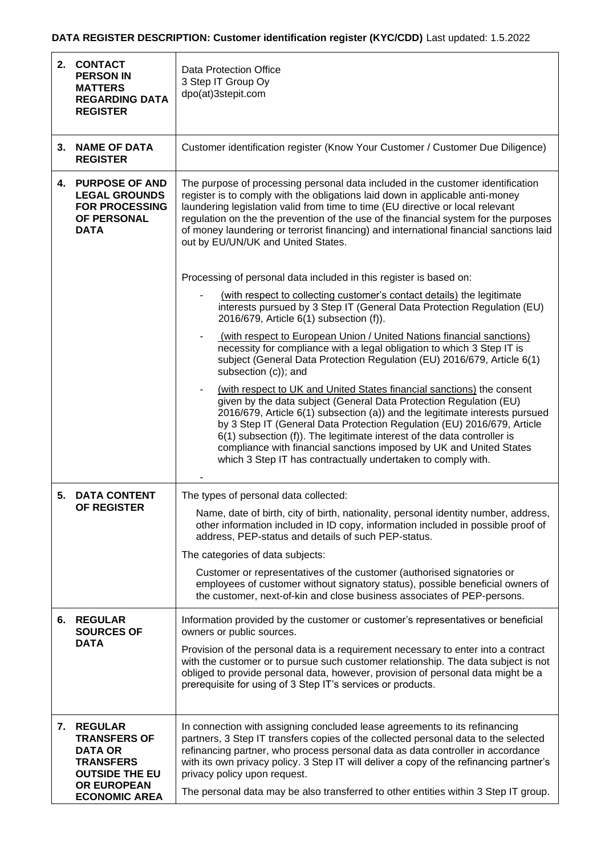## **DATA REGISTER DESCRIPTION: Customer identification register (KYC/CDD)** Last updated: 1.5.2022

| 2. | <b>CONTACT</b><br><b>PERSON IN</b><br><b>MATTERS</b><br><b>REGARDING DATA</b><br><b>REGISTER</b>                                        | <b>Data Protection Office</b><br>3 Step IT Group Oy<br>dpo(at)3stepit.com                                                                                                                                                                                                                                                                                                                                                                                                                                                |
|----|-----------------------------------------------------------------------------------------------------------------------------------------|--------------------------------------------------------------------------------------------------------------------------------------------------------------------------------------------------------------------------------------------------------------------------------------------------------------------------------------------------------------------------------------------------------------------------------------------------------------------------------------------------------------------------|
|    | 3. NAME OF DATA<br><b>REGISTER</b>                                                                                                      | Customer identification register (Know Your Customer / Customer Due Diligence)                                                                                                                                                                                                                                                                                                                                                                                                                                           |
| 4. | <b>PURPOSE OF AND</b><br><b>LEGAL GROUNDS</b><br><b>FOR PROCESSING</b><br>OF PERSONAL<br><b>DATA</b>                                    | The purpose of processing personal data included in the customer identification<br>register is to comply with the obligations laid down in applicable anti-money<br>laundering legislation valid from time to time (EU directive or local relevant<br>regulation on the the prevention of the use of the financial system for the purposes<br>of money laundering or terrorist financing) and international financial sanctions laid<br>out by EU/UN/UK and United States.                                               |
|    |                                                                                                                                         | Processing of personal data included in this register is based on:                                                                                                                                                                                                                                                                                                                                                                                                                                                       |
|    |                                                                                                                                         | (with respect to collecting customer's contact details) the legitimate<br>interests pursued by 3 Step IT (General Data Protection Regulation (EU)<br>2016/679, Article 6(1) subsection (f)).                                                                                                                                                                                                                                                                                                                             |
|    |                                                                                                                                         | (with respect to European Union / United Nations financial sanctions)<br>necessity for compliance with a legal obligation to which 3 Step IT is<br>subject (General Data Protection Regulation (EU) 2016/679, Article 6(1)<br>subsection (c)); and                                                                                                                                                                                                                                                                       |
|    |                                                                                                                                         | (with respect to UK and United States financial sanctions) the consent<br>given by the data subject (General Data Protection Regulation (EU)<br>2016/679, Article 6(1) subsection (a)) and the legitimate interests pursued<br>by 3 Step IT (General Data Protection Regulation (EU) 2016/679, Article<br>6(1) subsection (f)). The legitimate interest of the data controller is<br>compliance with financial sanctions imposed by UK and United States<br>which 3 Step IT has contractually undertaken to comply with. |
| 5. | <b>DATA CONTENT</b>                                                                                                                     | The types of personal data collected:                                                                                                                                                                                                                                                                                                                                                                                                                                                                                    |
|    | OF REGISTER                                                                                                                             | Name, date of birth, city of birth, nationality, personal identity number, address,<br>other information included in ID copy, information included in possible proof of<br>address, PEP-status and details of such PEP-status.<br>The categories of data subjects:                                                                                                                                                                                                                                                       |
|    |                                                                                                                                         | Customer or representatives of the customer (authorised signatories or<br>employees of customer without signatory status), possible beneficial owners of<br>the customer, next-of-kin and close business associates of PEP-persons.                                                                                                                                                                                                                                                                                      |
|    | 6. REGULAR<br><b>SOURCES OF</b><br><b>DATA</b>                                                                                          | Information provided by the customer or customer's representatives or beneficial<br>owners or public sources.                                                                                                                                                                                                                                                                                                                                                                                                            |
|    |                                                                                                                                         | Provision of the personal data is a requirement necessary to enter into a contract<br>with the customer or to pursue such customer relationship. The data subject is not<br>obliged to provide personal data, however, provision of personal data might be a<br>prerequisite for using of 3 Step IT's services or products.                                                                                                                                                                                              |
|    | 7. REGULAR<br><b>TRANSFERS OF</b><br><b>DATA OR</b><br><b>TRANSFERS</b><br><b>OUTSIDE THE EU</b><br>OR EUROPEAN<br><b>ECONOMIC AREA</b> | In connection with assigning concluded lease agreements to its refinancing<br>partners, 3 Step IT transfers copies of the collected personal data to the selected<br>refinancing partner, who process personal data as data controller in accordance<br>with its own privacy policy. 3 Step IT will deliver a copy of the refinancing partner's<br>privacy policy upon request.<br>The personal data may be also transferred to other entities within 3 Step IT group.                                                   |